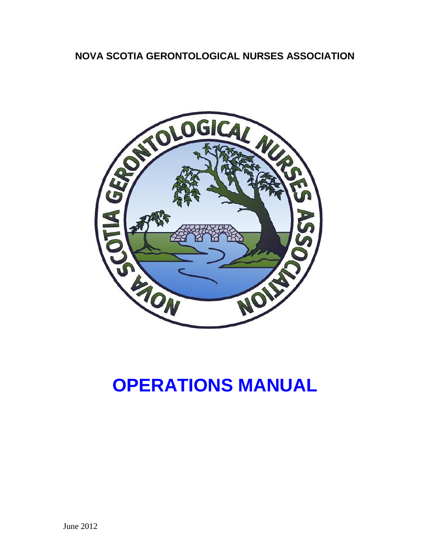# **NOVA SCOTIA GERONTOLOGICAL NURSES ASSOCIATION**



# **OPERATIONS MANUAL**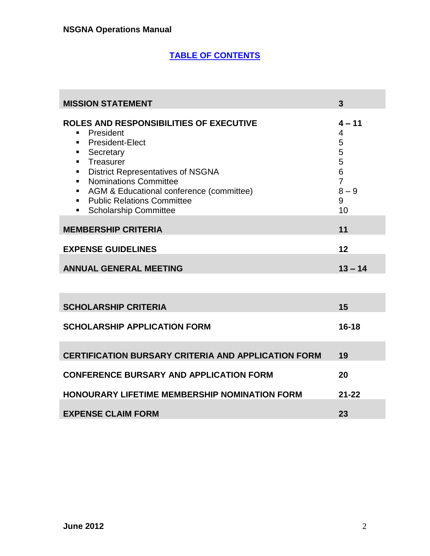$\mathcal{L}_{\mathcal{A}}$ 

# **TABLE OF CONTENTS**

| <b>MISSION STATEMENT</b>                                                                                                                                                                                                                                                                                                                                                | 3                                                                         |
|-------------------------------------------------------------------------------------------------------------------------------------------------------------------------------------------------------------------------------------------------------------------------------------------------------------------------------------------------------------------------|---------------------------------------------------------------------------|
| ROLES AND RESPONSIBILITIES OF EXECUTIVE<br>President<br><b>President-Elect</b><br>٠<br>Secretary<br>٠<br>Treasurer<br>$\blacksquare$<br><b>District Representatives of NSGNA</b><br>٠<br><b>Nominations Committee</b><br>$\blacksquare$<br>AGM & Educational conference (committee)<br>٠<br><b>Public Relations Committee</b><br>٠<br><b>Scholarship Committee</b><br>٠ | $4 - 11$<br>4<br>5<br>5<br>5<br>6<br>$\overline{7}$<br>$8 - 9$<br>9<br>10 |
| <b>MEMBERSHIP CRITERIA</b>                                                                                                                                                                                                                                                                                                                                              | 11                                                                        |
| <b>EXPENSE GUIDELINES</b>                                                                                                                                                                                                                                                                                                                                               | 12                                                                        |
| <b>ANNUAL GENERAL MEETING</b>                                                                                                                                                                                                                                                                                                                                           | $13 - 14$                                                                 |
|                                                                                                                                                                                                                                                                                                                                                                         |                                                                           |
| <b>SCHOLARSHIP CRITERIA</b>                                                                                                                                                                                                                                                                                                                                             | 15                                                                        |
| <b>SCHOLARSHIP APPLICATION FORM</b>                                                                                                                                                                                                                                                                                                                                     | $16 - 18$                                                                 |
| <b>CERTIFICATION BURSARY CRITERIA AND APPLICATION FORM</b>                                                                                                                                                                                                                                                                                                              | 19                                                                        |
| <b>CONFERENCE BURSARY AND APPLICATION FORM</b>                                                                                                                                                                                                                                                                                                                          | 20                                                                        |
| <b>HONOURARY LIFETIME MEMBERSHIP NOMINATION FORM</b>                                                                                                                                                                                                                                                                                                                    | $21 - 22$                                                                 |
| <b>EXPENSE CLAIM FORM</b>                                                                                                                                                                                                                                                                                                                                               | 23                                                                        |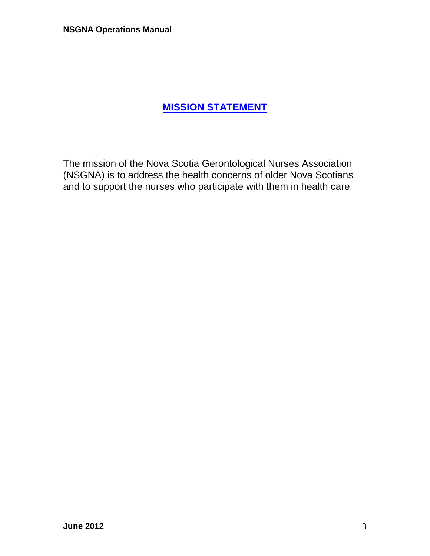# **MISSION STATEMENT**

The mission of the Nova Scotia Gerontological Nurses Association (NSGNA) is to address the health concerns of older Nova Scotians and to support the nurses who participate with them in health care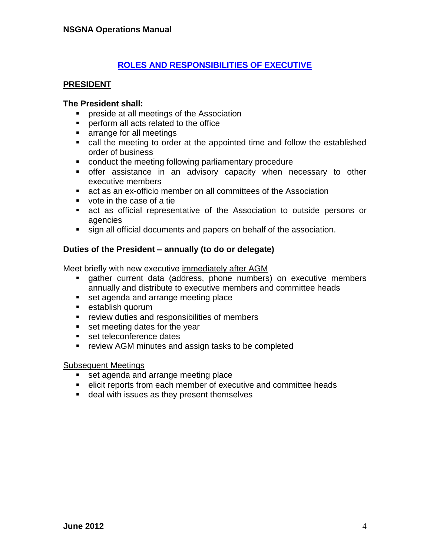# **ROLES AND RESPONSIBILITIES OF EXECUTIVE**

#### **PRESIDENT**

#### **The President shall:**

- **Permiffully** preside at all meetings of the Association
- **Perform all acts related to the office**
- **Example for all meetings**
- call the meeting to order at the appointed time and follow the established order of business
- **conduct the meeting following parliamentary procedure**
- offer assistance in an advisory capacity when necessary to other executive members
- act as an ex-officio member on all committees of the Association
- vote in the case of a tie
- act as official representative of the Association to outside persons or agencies
- sign all official documents and papers on behalf of the association.

#### **Duties of the President – annually (to do or delegate)**

Meet briefly with new executive immediately after AGM

- gather current data (address, phone numbers) on executive members annually and distribute to executive members and committee heads
- set agenda and arrange meeting place
- **establish quorum**
- **•** review duties and responsibilities of members
- set meeting dates for the year
- set teleconference dates
- **F** review AGM minutes and assign tasks to be completed

#### Subsequent Meetings

- set agenda and arrange meeting place
- elicit reports from each member of executive and committee heads
- **deal with issues as they present themselves**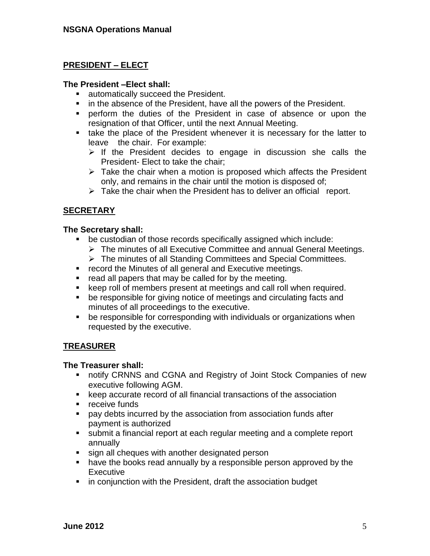# **PRESIDENT – ELECT**

#### **The President –Elect shall:**

- **automatically succeed the President.**
- **in the absence of the President, have all the powers of the President.**
- perform the duties of the President in case of absence or upon the resignation of that Officer, until the next Annual Meeting.
- **take the place of the President whenever it is necessary for the latter to** leave the chair. For example:
	- $\triangleright$  If the President decides to engage in discussion she calls the President- Elect to take the chair;
	- $\triangleright$  Take the chair when a motion is proposed which affects the President only, and remains in the chair until the motion is disposed of;
	- $\triangleright$  Take the chair when the President has to deliver an official report.

#### **SECRETARY**

#### **The Secretary shall:**

- be custodian of those records specifically assigned which include:
	- $\triangleright$  The minutes of all Executive Committee and annual General Meetings.
	- The minutes of all Standing Committees and Special Committees.
- **F** record the Minutes of all general and Executive meetings.
- read all papers that may be called for by the meeting.
- keep roll of members present at meetings and call roll when required.
- be responsible for giving notice of meetings and circulating facts and minutes of all proceedings to the executive.
- be responsible for corresponding with individuals or organizations when requested by the executive.

#### **TREASURER**

#### **The Treasurer shall:**

- notify CRNNS and CGNA and Registry of Joint Stock Companies of new executive following AGM.
- keep accurate record of all financial transactions of the association
- **•** receive funds
- pay debts incurred by the association from association funds after payment is authorized
- submit a financial report at each regular meeting and a complete report annually
- sign all cheques with another designated person
- have the books read annually by a responsible person approved by the Executive
- **F** in conjunction with the President, draft the association budget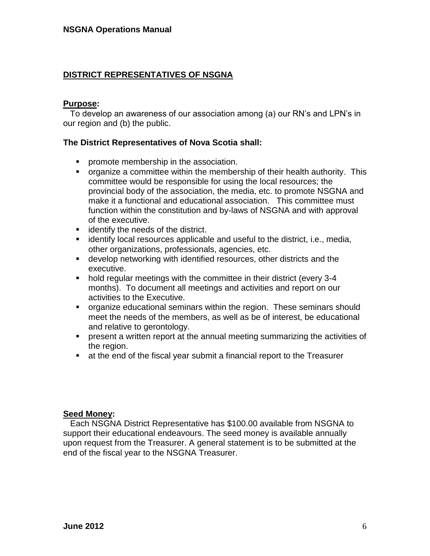# **DISTRICT REPRESENTATIVES OF NSGNA**

#### **Purpose:**

 To develop an awareness of our association among (a) our RN's and LPN's in our region and (b) the public.

#### **The District Representatives of Nova Scotia shall:**

- **•** promote membership in the association.
- organize a committee within the membership of their health authority. This committee would be responsible for using the local resources; the provincial body of the association, the media, etc. to promote NSGNA and make it a functional and educational association. This committee must function within the constitution and by-laws of NSGNA and with approval of the executive.
- **identify the needs of the district.**
- **EXEDENT** identify local resources applicable and useful to the district, i.e., media, other organizations, professionals, agencies, etc.
- develop networking with identified resources, other districts and the executive.
- hold regular meetings with the committee in their district (every 3-4 months). To document all meetings and activities and report on our activities to the Executive.
- organize educational seminars within the region. These seminars should meet the needs of the members, as well as be of interest, be educational and relative to gerontology.
- present a written report at the annual meeting summarizing the activities of the region.
- at the end of the fiscal year submit a financial report to the Treasurer

#### **Seed Money:**

Each NSGNA District Representative has \$100.00 available from NSGNA to support their educational endeavours. The seed money is available annually upon request from the Treasurer. A general statement is to be submitted at the end of the fiscal year to the NSGNA Treasurer.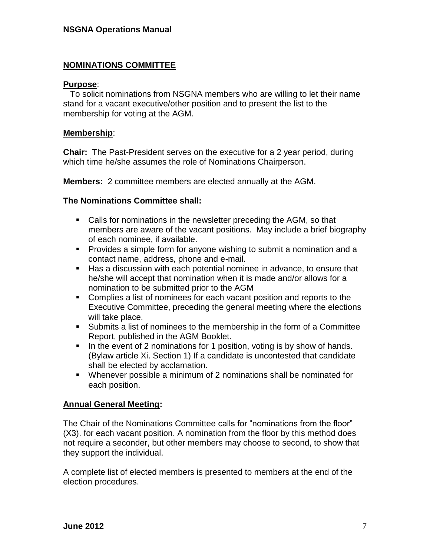## **NOMINATIONS COMMITTEE**

#### **Purpose**:

 To solicit nominations from NSGNA members who are willing to let their name stand for a vacant executive/other position and to present the list to the membership for voting at the AGM.

#### **Membership**:

**Chair:** The Past-President serves on the executive for a 2 year period, during which time he/she assumes the role of Nominations Chairperson.

**Members:** 2 committee members are elected annually at the AGM.

#### **The Nominations Committee shall:**

- Calls for nominations in the newsletter preceding the AGM, so that members are aware of the vacant positions. May include a brief biography of each nominee, if available.
- **Provides a simple form for anyone wishing to submit a nomination and a** contact name, address, phone and e-mail.
- Has a discussion with each potential nominee in advance, to ensure that he/she will accept that nomination when it is made and/or allows for a nomination to be submitted prior to the AGM
- Complies a list of nominees for each vacant position and reports to the Executive Committee, preceding the general meeting where the elections will take place.
- Submits a list of nominees to the membership in the form of a Committee Report, published in the AGM Booklet.
- In the event of 2 nominations for 1 position, voting is by show of hands. (Bylaw article Xi. Section 1) If a candidate is uncontested that candidate shall be elected by acclamation.
- Whenever possible a minimum of 2 nominations shall be nominated for each position.

#### **Annual General Meeting:**

The Chair of the Nominations Committee calls for "nominations from the floor" (X3). for each vacant position. A nomination from the floor by this method does not require a seconder, but other members may choose to second, to show that they support the individual.

A complete list of elected members is presented to members at the end of the election procedures.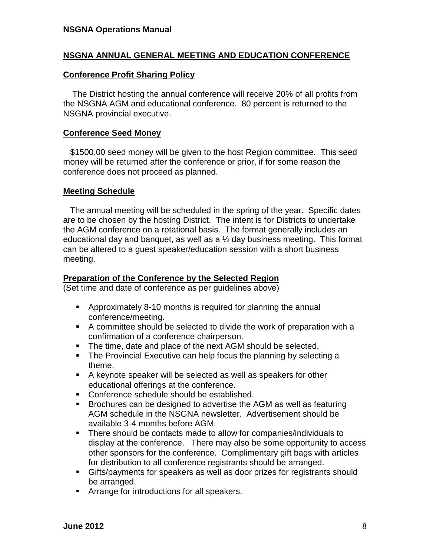## **NSGNA ANNUAL GENERAL MEETING AND EDUCATION CONFERENCE**

#### **Conference Profit Sharing Policy**

The District hosting the annual conference will receive 20% of all profits from the NSGNA AGM and educational conference. 80 percent is returned to the NSGNA provincial executive.

### **Conference Seed Money**

\$1500.00 seed money will be given to the host Region committee. This seed money will be returned after the conference or prior, if for some reason the conference does not proceed as planned.

## **Meeting Schedule**

 The annual meeting will be scheduled in the spring of the year. Specific dates are to be chosen by the hosting District. The intent is for Districts to undertake the AGM conference on a rotational basis. The format generally includes an educational day and banquet, as well as a  $\frac{1}{2}$  day business meeting. This format can be altered to a guest speaker/education session with a short business meeting.

### **Preparation of the Conference by the Selected Region**

(Set time and date of conference as per guidelines above)

- Approximately 8-10 months is required for planning the annual conference/meeting.
- A committee should be selected to divide the work of preparation with a confirmation of a conference chairperson.
- The time, date and place of the next AGM should be selected.
- **The Provincial Executive can help focus the planning by selecting a** theme.
- A keynote speaker will be selected as well as speakers for other educational offerings at the conference.
- Conference schedule should be established.
- Brochures can be designed to advertise the AGM as well as featuring AGM schedule in the NSGNA newsletter. Advertisement should be available 3-4 months before AGM.
- There should be contacts made to allow for companies/individuals to display at the conference. There may also be some opportunity to access other sponsors for the conference. Complimentary gift bags with articles for distribution to all conference registrants should be arranged.
- Gifts/payments for speakers as well as door prizes for registrants should be arranged.
- **EXPLORED FI** Arrange for introductions for all speakers.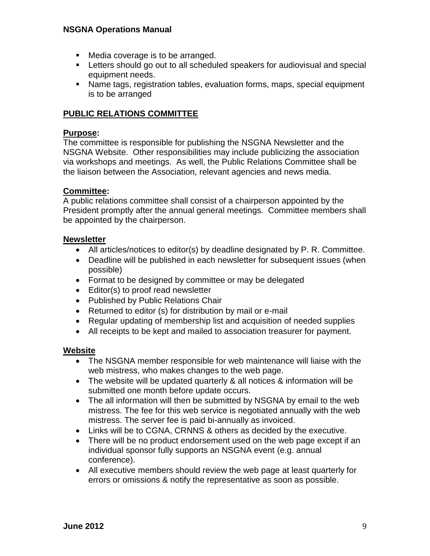#### **NSGNA Operations Manual**

- **Media coverage is to be arranged.**
- **EXTER** 1. Letters should go out to all scheduled speakers for audiovisual and special equipment needs.
- Name tags, registration tables, evaluation forms, maps, special equipment is to be arranged

# **PUBLIC RELATIONS COMMITTEE**

### **Purpose:**

The committee is responsible for publishing the NSGNA Newsletter and the NSGNA Website. Other responsibilities may include publicizing the association via workshops and meetings. As well, the Public Relations Committee shall be the liaison between the Association, relevant agencies and news media.

# **Committee:**

A public relations committee shall consist of a chairperson appointed by the President promptly after the annual general meetings. Committee members shall be appointed by the chairperson.

#### **Newsletter**

- All articles/notices to editor(s) by deadline designated by P. R. Committee.
- Deadline will be published in each newsletter for subsequent issues (when possible)
- Format to be designed by committee or may be delegated
- Editor(s) to proof read newsletter
- Published by Public Relations Chair
- Returned to editor (s) for distribution by mail or e-mail
- Regular updating of membership list and acquisition of needed supplies
- All receipts to be kept and mailed to association treasurer for payment.

#### **Website**

- The NSGNA member responsible for web maintenance will liaise with the web mistress, who makes changes to the web page.
- The website will be updated quarterly & all notices & information will be submitted one month before update occurs.
- The all information will then be submitted by NSGNA by email to the web mistress. The fee for this web service is negotiated annually with the web mistress. The server fee is paid bi-annually as invoiced.
- Links will be to CGNA, CRNNS & others as decided by the executive.
- There will be no product endorsement used on the web page except if an individual sponsor fully supports an NSGNA event (e.g. annual conference).
- All executive members should review the web page at least quarterly for errors or omissions & notify the representative as soon as possible.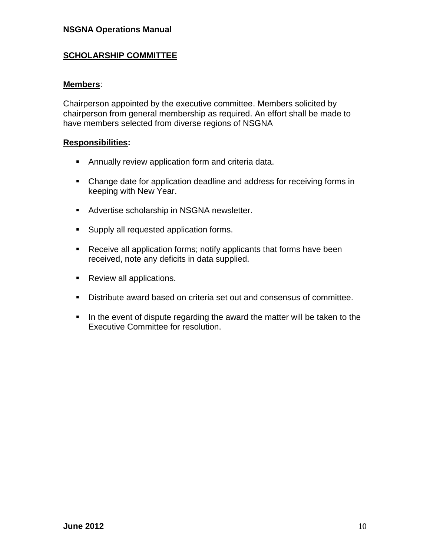#### **NSGNA Operations Manual**

#### **SCHOLARSHIP COMMITTEE**

#### **Members**:

Chairperson appointed by the executive committee. Members solicited by chairperson from general membership as required. An effort shall be made to have members selected from diverse regions of NSGNA

#### **Responsibilities:**

- Annually review application form and criteria data.
- Change date for application deadline and address for receiving forms in keeping with New Year.
- **Advertise scholarship in NSGNA newsletter.**
- **Supply all requested application forms.**
- **Receive all application forms; notify applicants that forms have been** received, note any deficits in data supplied.
- Review all applications.
- Distribute award based on criteria set out and consensus of committee.
- In the event of dispute regarding the award the matter will be taken to the Executive Committee for resolution.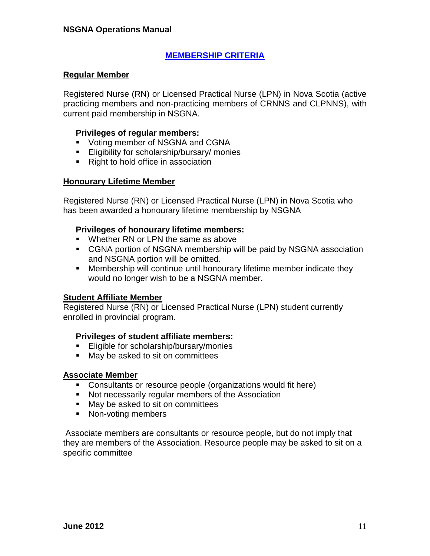# **MEMBERSHIP CRITERIA**

#### **Regular Member**

Registered Nurse (RN) or Licensed Practical Nurse (LPN) in Nova Scotia (active practicing members and non-practicing members of CRNNS and CLPNNS), with current paid membership in NSGNA.

#### **Privileges of regular members:**

- **Voting member of NSGNA and CGNA**
- **Eligibility for scholarship/bursary/ monies**
- Right to hold office in association

#### **Honourary Lifetime Member**

Registered Nurse (RN) or Licensed Practical Nurse (LPN) in Nova Scotia who has been awarded a honourary lifetime membership by NSGNA

#### **Privileges of honourary lifetime members:**

- Whether RN or I PN the same as above
- CGNA portion of NSGNA membership will be paid by NSGNA association and NSGNA portion will be omitted.
- Membership will continue until honourary lifetime member indicate they would no longer wish to be a NSGNA member.

#### **Student Affiliate Member**

Registered Nurse (RN) or Licensed Practical Nurse (LPN) student currently enrolled in provincial program.

#### **Privileges of student affiliate members:**

- **Eligible for scholarship/bursary/monies**
- May be asked to sit on committees

#### **Associate Member**

- Consultants or resource people (organizations would fit here)
- Not necessarily regular members of the Association
- **May be asked to sit on committees**
- Non-voting members

Associate members are consultants or resource people, but do not imply that they are members of the Association. Resource people may be asked to sit on a specific committee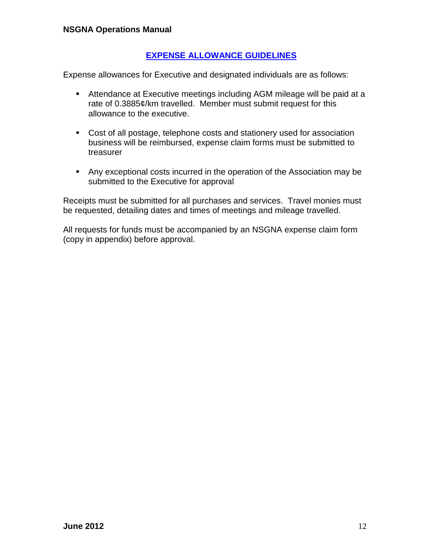## **EXPENSE ALLOWANCE GUIDELINES**

Expense allowances for Executive and designated individuals are as follows:

- Attendance at Executive meetings including AGM mileage will be paid at a rate of 0.3885¢/km travelled. Member must submit request for this allowance to the executive.
- Cost of all postage, telephone costs and stationery used for association business will be reimbursed, expense claim forms must be submitted to treasurer
- Any exceptional costs incurred in the operation of the Association may be submitted to the Executive for approval

Receipts must be submitted for all purchases and services. Travel monies must be requested, detailing dates and times of meetings and mileage travelled.

All requests for funds must be accompanied by an NSGNA expense claim form (copy in appendix) before approval.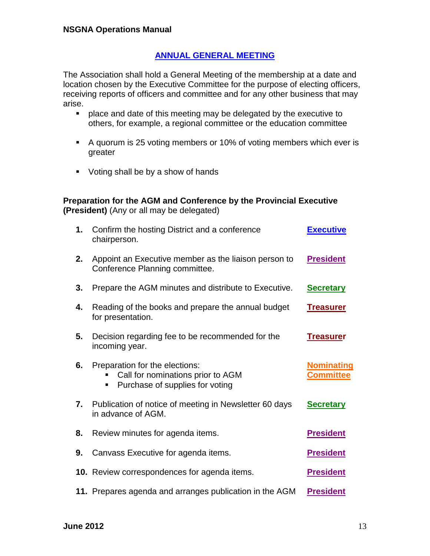## **ANNUAL GENERAL MEETING**

The Association shall hold a General Meeting of the membership at a date and location chosen by the Executive Committee for the purpose of electing officers, receiving reports of officers and committee and for any other business that may arise.

- **Parable 2** place and date of this meeting may be delegated by the executive to others, for example, a regional committee or the education committee
- A quorum is 25 voting members or 10% of voting members which ever is greater
- Voting shall be by a show of hands

#### **Preparation for the AGM and Conference by the Provincial Executive (President)** (Any or all may be delegated)

| 1. | Confirm the hosting District and a conference<br>chairperson.                                               | <b>Executive</b>                      |
|----|-------------------------------------------------------------------------------------------------------------|---------------------------------------|
| 2. | Appoint an Executive member as the liaison person to<br>Conference Planning committee.                      | <b>President</b>                      |
| 3. | Prepare the AGM minutes and distribute to Executive.                                                        | <b>Secretary</b>                      |
| 4. | Reading of the books and prepare the annual budget<br>for presentation.                                     | <b>Treasurer</b>                      |
| 5. | Decision regarding fee to be recommended for the<br>incoming year.                                          | <b>Treasurer</b>                      |
| 6. | Preparation for the elections:<br>Call for nominations prior to AGM<br>Purchase of supplies for voting<br>٠ | <b>Nominating</b><br><b>Committee</b> |
| 7. | Publication of notice of meeting in Newsletter 60 days<br>in advance of AGM.                                | <b>Secretary</b>                      |
| 8. | Review minutes for agenda items.                                                                            | <b>President</b>                      |
| 9. | Canvass Executive for agenda items.                                                                         | <b>President</b>                      |
|    | 10. Review correspondences for agenda items.                                                                | <b>President</b>                      |
|    | 11. Prepares agenda and arranges publication in the AGM                                                     | <b>President</b>                      |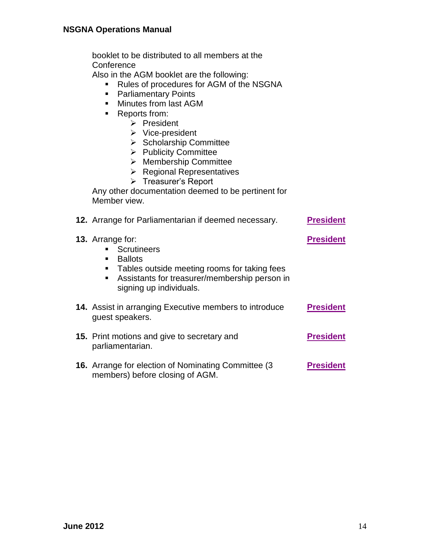booklet to be distributed to all members at the **Conference** 

Also in the AGM booklet are the following:

- Rules of procedures for AGM of the NSGNA
- **Parliamentary Points**
- **Minutes from last AGM**
- **Reports from:** 
	- $\triangleright$  President
	- $\triangleright$  Vice-president
	- $\triangleright$  Scholarship Committee
	- $\triangleright$  Publicity Committee
	- Membership Committee
	- $\triangleright$  Regional Representatives
	- > Treasurer's Report

Any other documentation deemed to be pertinent for Member view.

| 12. Arrange for Parliamentarian if deemed necessary.                                                                                                                                                  | <b>President</b> |
|-------------------------------------------------------------------------------------------------------------------------------------------------------------------------------------------------------|------------------|
| <b>13.</b> Arrange for:<br><b>Scrutineers</b><br><b>Ballots</b><br>Tables outside meeting rooms for taking fees<br>٠<br>Assistants for treasurer/membership person in<br>٠<br>signing up individuals. | <b>President</b> |
| 14. Assist in arranging Executive members to introduce<br>guest speakers.                                                                                                                             | <b>President</b> |
| <b>15.</b> Print motions and give to secretary and<br>parliamentarian.                                                                                                                                | <b>President</b> |
| <b>16.</b> Arrange for election of Nominating Committee (3)<br>members) before closing of AGM.                                                                                                        | <b>President</b> |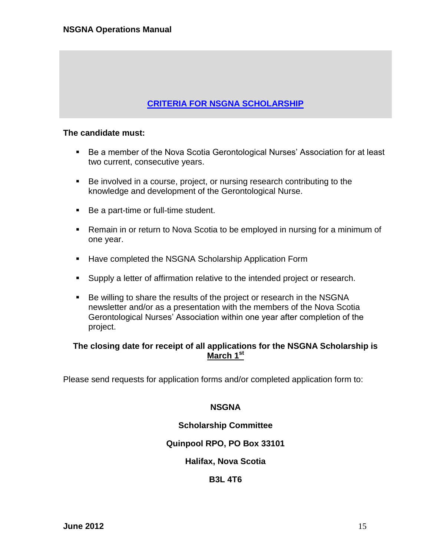# **CRITERIA FOR NSGNA SCHOLARSHIP**

#### **The candidate must:**

- Be a member of the Nova Scotia Gerontological Nurses' Association for at least two current, consecutive years.
- Be involved in a course, project, or nursing research contributing to the knowledge and development of the Gerontological Nurse.
- Be a part-time or full-time student.
- Remain in or return to Nova Scotia to be employed in nursing for a minimum of one year.
- **Have completed the NSGNA Scholarship Application Form**
- **Supply a letter of affirmation relative to the intended project or research.**
- Be willing to share the results of the project or research in the NSGNA newsletter and/or as a presentation with the members of the Nova Scotia Gerontological Nurses' Association within one year after completion of the project.

#### **The closing date for receipt of all applications for the NSGNA Scholarship is March 1st**

Please send requests for application forms and/or completed application form to:

#### **NSGNA**

#### **Scholarship Committee**

#### **Quinpool RPO, PO Box 33101**

#### **Halifax, Nova Scotia**

#### **B3L 4T6**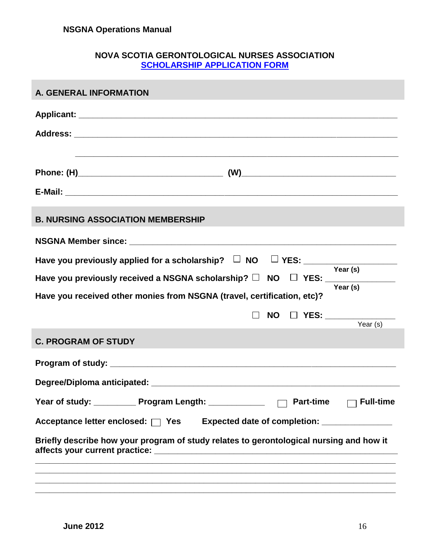# **NOVA SCOTIA GERONTOLOGICAL NURSES ASSOCIATION SCHOLARSHIP APPLICATION FORM**

| <b>A. GENERAL INFORMATION</b>                                                                      |
|----------------------------------------------------------------------------------------------------|
|                                                                                                    |
|                                                                                                    |
|                                                                                                    |
|                                                                                                    |
|                                                                                                    |
| <b>B. NURSING ASSOCIATION MEMBERSHIP</b>                                                           |
|                                                                                                    |
| Have you previously applied for a scholarship? $\square$ NO $\square$ YES: $\square$ Year (s)      |
| Have you previously received a NSGNA scholarship? $\Box$ NO $\Box$ YES: ______________<br>Year (s) |
| Have you received other monies from NSGNA (travel, certification, etc)?                            |
| NO $\Box$ YES: ______________<br>Year $(s)$                                                        |
| <b>C. PROGRAM OF STUDY</b>                                                                         |
|                                                                                                    |
|                                                                                                    |
| Year of study: ____________ Program Length: ____________<br><b>Full-time</b><br><b>Part-time</b>   |
| Acceptance letter enclosed: $\Box$ Yes<br>Expected date of completion: ________________            |
| Briefly describe how your program of study relates to gerontological nursing and how it            |
| ,我们也不会有什么。""我们的,你们也不会不会不会不会不会不会不会不会不会不会不会不会不会。""我们的,我们也不会不会不会不会不会不会不会不会。""我们的,我们                   |
|                                                                                                    |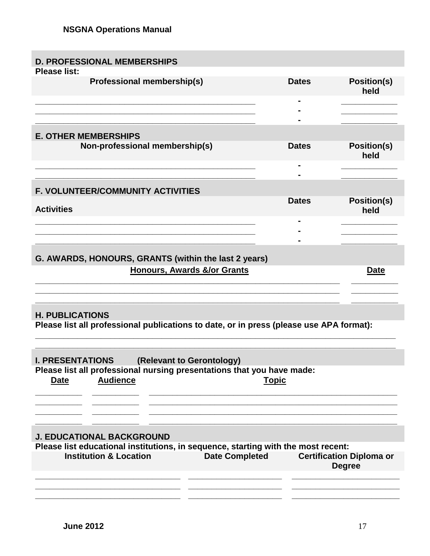| <b>D. PROFESSIONAL MEMBERSHIPS</b>                                                                                             |              |                                                  |
|--------------------------------------------------------------------------------------------------------------------------------|--------------|--------------------------------------------------|
| <b>Please list:</b><br><b>Professional membership(s)</b>                                                                       | <b>Dates</b> | <b>Position(s)</b><br>held                       |
|                                                                                                                                |              |                                                  |
| <b>E. OTHER MEMBERSHIPS</b>                                                                                                    |              |                                                  |
| Non-professional membership(s)                                                                                                 | <b>Dates</b> | <b>Position(s)</b><br>held                       |
|                                                                                                                                |              |                                                  |
| <b>F. VOLUNTEER/COMMUNITY ACTIVITIES</b>                                                                                       |              |                                                  |
| <b>Activities</b>                                                                                                              | <b>Dates</b> | <b>Position(s)</b><br>held                       |
|                                                                                                                                |              |                                                  |
|                                                                                                                                |              |                                                  |
| G. AWARDS, HONOURS, GRANTS (within the last 2 years)                                                                           |              |                                                  |
| <b>Honours, Awards &amp;/or Grants</b>                                                                                         |              | Date                                             |
|                                                                                                                                |              |                                                  |
| <b>H. PUBLICATIONS</b>                                                                                                         |              |                                                  |
| Please list all professional publications to date, or in press (please use APA format):                                        |              |                                                  |
|                                                                                                                                |              |                                                  |
| <b>I. PRESENTATIONS</b><br>(Relevant to Gerontology)<br>Please list all professional nursing presentations that you have made: |              |                                                  |
| <b>Audience</b><br><b>Date</b>                                                                                                 | <b>Topic</b> |                                                  |
|                                                                                                                                |              |                                                  |
|                                                                                                                                |              |                                                  |
|                                                                                                                                |              |                                                  |
| <b>J. EDUCATIONAL BACKGROUND</b>                                                                                               |              |                                                  |
| Please list educational institutions, in sequence, starting with the most recent:                                              |              |                                                  |
| <b>Institution &amp; Location</b><br><b>Date Completed</b>                                                                     |              | <b>Certification Diploma or</b><br><b>Degree</b> |
|                                                                                                                                |              |                                                  |
|                                                                                                                                |              |                                                  |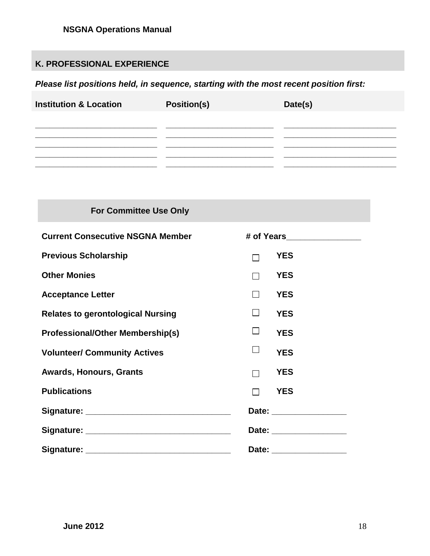# **K. PROFESSIONAL EXPERIENCE**

# *Please list positions held, in sequence, starting with the most recent position first:*

| <b>Institution &amp; Location</b> | <b>Position(s)</b> | Date(s) |
|-----------------------------------|--------------------|---------|
|                                   |                    |         |
|                                   |                    |         |
|                                   |                    |         |
|                                   |                    |         |

| <b>For Committee Use Only</b>            |                              |  |
|------------------------------------------|------------------------------|--|
| <b>Current Consecutive NSGNA Member</b>  | # of Years__________________ |  |
| <b>Previous Scholarship</b>              | <b>YES</b>                   |  |
| <b>Other Monies</b>                      | <b>YES</b>                   |  |
| <b>Acceptance Letter</b>                 | <b>YES</b><br>$\mathsf{L}$   |  |
| <b>Relates to gerontological Nursing</b> | $\mathsf{L}$<br><b>YES</b>   |  |
| <b>Professional/Other Membership(s)</b>  | ⊔<br><b>YES</b>              |  |
| <b>Volunteer/ Community Actives</b>      | ⊔<br><b>YES</b>              |  |
| <b>Awards, Honours, Grants</b>           | <b>YES</b><br>П              |  |
| <b>Publications</b>                      | <b>YES</b><br>П              |  |
|                                          | Date: __________________     |  |
|                                          | Date: _________________      |  |
|                                          | Date: _________________      |  |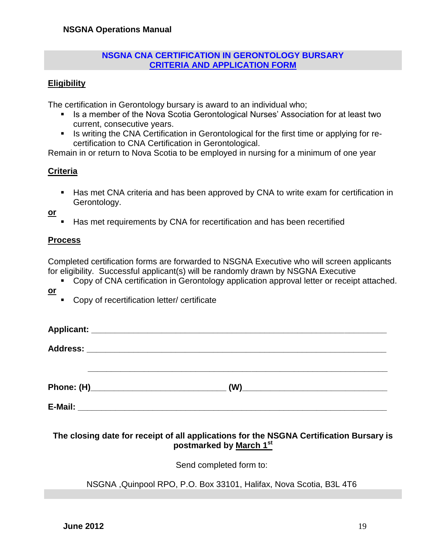#### **NSGNA CNA CERTIFICATION IN GERONTOLOGY BURSARY CRITERIA AND APPLICATION FORM**

## **Eligibility**

The certification in Gerontology bursary is award to an individual who;

- Is a member of the Nova Scotia Gerontological Nurses' Association for at least two current, consecutive years.
- Is writing the CNA Certification in Gerontological for the first time or applying for recertification to CNA Certification in Gerontological.

Remain in or return to Nova Scotia to be employed in nursing for a minimum of one year

## **Criteria**

Has met CNA criteria and has been approved by CNA to write exam for certification in Gerontology.

**or**

Has met requirements by CNA for recertification and has been recertified

#### **Process**

Completed certification forms are forwarded to NSGNA Executive who will screen applicants for eligibility. Successful applicant(s) will be randomly drawn by NSGNA Executive

- Copy of CNA certification in Gerontology application approval letter or receipt attached.
- **or**
- Copy of recertification letter/ certificate

|         | (W) |  |
|---------|-----|--|
| E-Mail: |     |  |

# **The closing date for receipt of all applications for the NSGNA Certification Bursary is postmarked by March 1st**

Send completed form to:

NSGNA ,Quinpool RPO, P.O. Box 33101, Halifax, Nova Scotia, B3L 4T6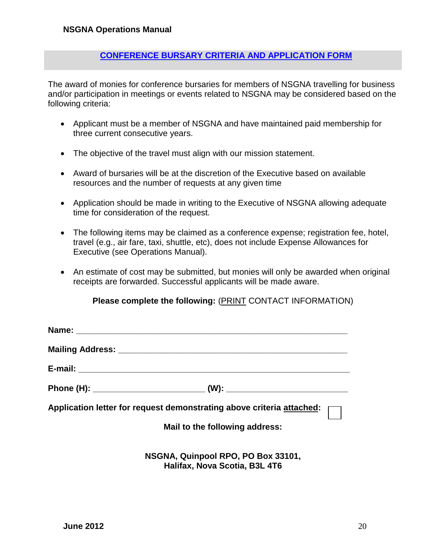## **CONFERENCE BURSARY CRITERIA AND APPLICATION FORM**

The award of monies for conference bursaries for members of NSGNA travelling for business and/or participation in meetings or events related to NSGNA may be considered based on the following criteria:

- Applicant must be a member of NSGNA and have maintained paid membership for three current consecutive years.
- The objective of the travel must align with our mission statement.
- Award of bursaries will be at the discretion of the Executive based on available resources and the number of requests at any given time
- Application should be made in writing to the Executive of NSGNA allowing adequate time for consideration of the request.
- The following items may be claimed as a conference expense; registration fee, hotel, travel (e.g., air fare, taxi, shuttle, etc), does not include Expense Allowances for Executive (see Operations Manual).
- An estimate of cost may be submitted, but monies will only be awarded when original receipts are forwarded. Successful applicants will be made aware.

#### **Please complete the following:** (PRINT CONTACT INFORMATION)

| Phone (H): ___________________________________(W): _____________________________                        |
|---------------------------------------------------------------------------------------------------------|
| Application letter for request demonstrating above criteria <u>attached</u> : $\boxed{\phantom{\cdot}}$ |
| Mail to the following address:                                                                          |
|                                                                                                         |

**NSGNA, Quinpool RPO, PO Box 33101, Halifax, Nova Scotia, B3L 4T6**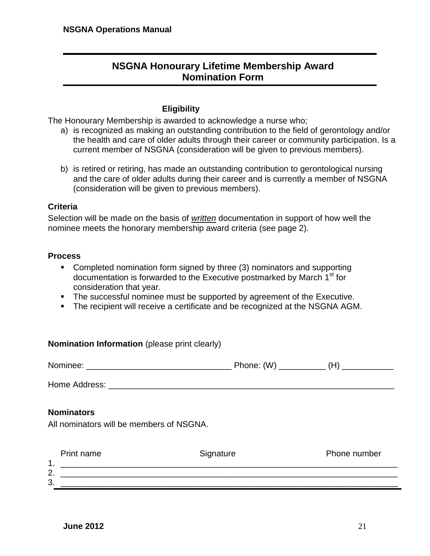# **NSGNA Honourary Lifetime Membership Award Nomination Form**

#### **Eligibility**

The Honourary Membership is awarded to acknowledge a nurse who;

- a) is recognized as making an outstanding contribution to the field of gerontology and/or the health and care of older adults through their career or community participation. Is a current member of NSGNA (consideration will be given to previous members).
- b) is retired or retiring, has made an outstanding contribution to gerontological nursing and the care of older adults during their career and is currently a member of NSGNA (consideration will be given to previous members).

#### **Criteria**

Selection will be made on the basis of *written* documentation in support of how well the nominee meets the honorary membership award criteria (see page 2).

#### **Process**

- Completed nomination form signed by three (3) nominators and supporting documentation is forwarded to the Executive postmarked by March 1<sup>st</sup> for consideration that year.
- The successful nominee must be supported by agreement of the Executive.
- The recipient will receive a certificate and be recognized at the NSGNA AGM.

| <b>Nomination Information</b> (please print clearly)          |           |              |
|---------------------------------------------------------------|-----------|--------------|
|                                                               |           |              |
|                                                               |           |              |
| <b>Nominators</b><br>All nominators will be members of NSGNA. |           |              |
| Print name                                                    | Signature | Phone number |
|                                                               |           |              |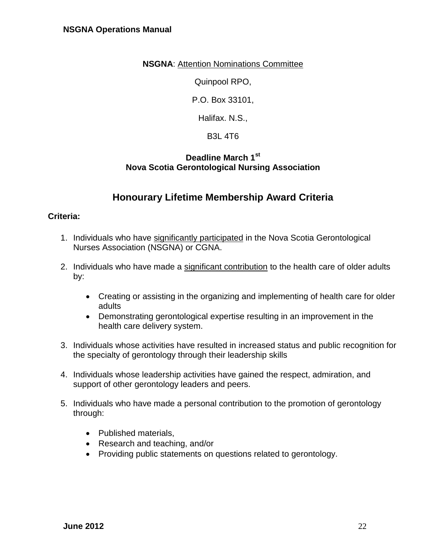### **NSGNA**: Attention Nominations Committee

Quinpool RPO,

P.O. Box 33101,

Halifax. N.S.,

B3L 4T6

# **Deadline March 1st Nova Scotia Gerontological Nursing Association**

# **Honourary Lifetime Membership Award Criteria**

## **Criteria:**

- 1. Individuals who have significantly participated in the Nova Scotia Gerontological Nurses Association (NSGNA) or CGNA.
- 2. Individuals who have made a significant contribution to the health care of older adults by:
	- Creating or assisting in the organizing and implementing of health care for older adults
	- Demonstrating gerontological expertise resulting in an improvement in the health care delivery system.
- 3. Individuals whose activities have resulted in increased status and public recognition for the specialty of gerontology through their leadership skills
- 4. Individuals whose leadership activities have gained the respect, admiration, and support of other gerontology leaders and peers.
- 5. Individuals who have made a personal contribution to the promotion of gerontology through:
	- Published materials.
	- Research and teaching, and/or
	- Providing public statements on questions related to gerontology.